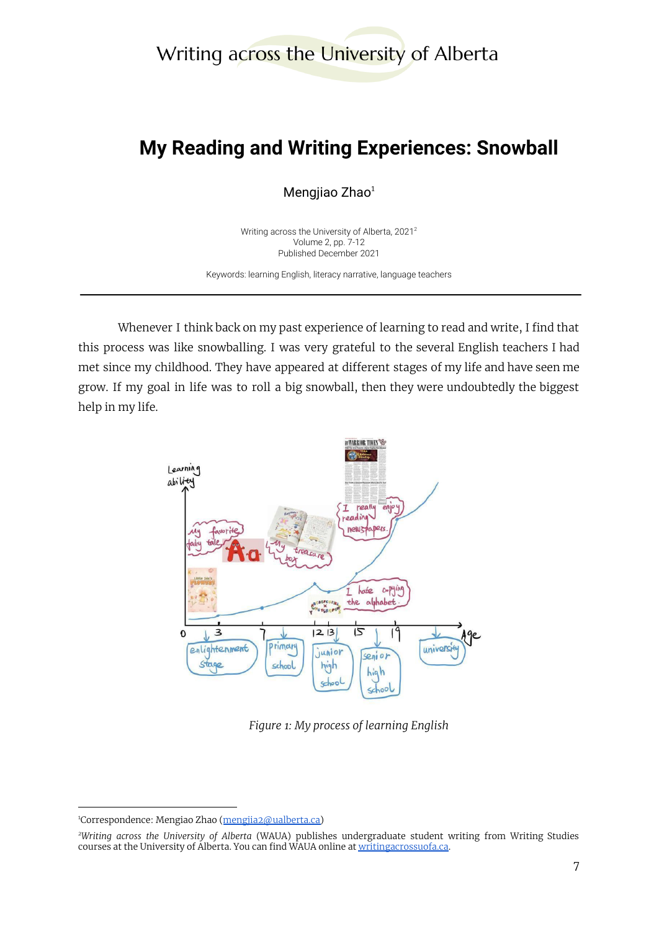# Writing across the University of Alberta

# **My Reading and Writing Experiences: Snowball**

Mengjiao Zhao<sup>1</sup>

Writing across the University of Alberta, 2021 2 Volume 2, pp. 7-12 Published December 2021

Keywords: learning English, literacy narrative, language teachers

Whenever I think back on my past experience of learning to read and write, I find that this process was like snowballing. I was very grateful to the several English teachers I had met since my childhood. They have appeared at different stages of my life and have seen me grow. If my goal in life was to roll a big snowball, then they were undoubtedly the biggest help in my life.



*Figure 1: My process of learning English*

<sup>&</sup>lt;sup>1</sup>Correspondence: Mengiao Zhao (mengiia2@ualberta.ca)

*<sup>2</sup>Writing across the University of Alberta* (WAUA) publishes undergraduate student writing from Writing Studies courses at the University of Alberta. You can find WAUA online at [writingacrossuofa.ca.](https://writingacrossuofa.ca/)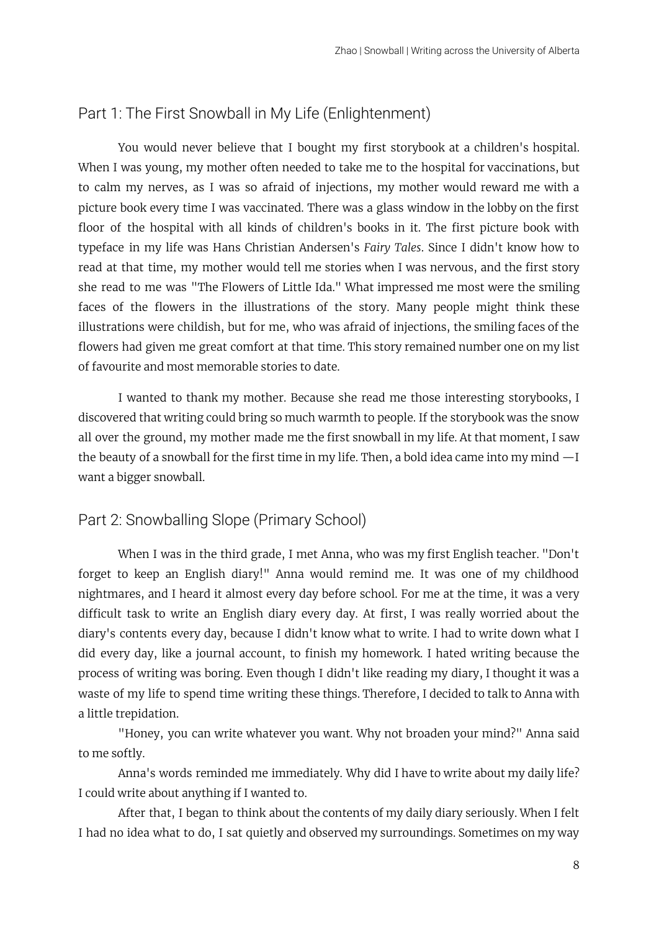#### Part 1: The First Snowball in My Life (Enlightenment)

You would never believe that I bought my first storybook at a children's hospital. When I was young, my mother often needed to take me to the hospital for vaccinations, but to calm my nerves, as I was so afraid of injections, my mother would reward me with a picture book every time I was vaccinated. There was a glass window in the lobby on the first floor of the hospital with all kinds of children's books in it. The first picture book with typeface in my life was Hans Christian Andersen's *Fairy Tales*. Since I didn't know how to read at that time, my mother would tell me stories when I was nervous, and the first story she read to me was "The Flowers of Little Ida." What impressed me most were the smiling faces of the flowers in the illustrations of the story. Many people might think these illustrations were childish, but for me, who was afraid of injections, the smiling faces of the flowers had given me great comfort at that time. This story remained number one on my list of favourite and most memorable stories to date.

I wanted to thank my mother. Because she read me those interesting storybooks, I discovered that writing could bring so much warmth to people. If the storybook was the snow all over the ground, my mother made me the first snowball in my life. At that moment, I saw the beauty of a snowball for the first time in my life. Then, a bold idea came into my mind  $-I$ want a bigger snowball.

### Part 2: Snowballing Slope (Primary School)

When I was in the third grade, I met Anna, who was my first English teacher. "Don't forget to keep an English diary!" Anna would remind me. It was one of my childhood nightmares, and I heard it almost every day before school. For me at the time, it was a very difficult task to write an English diary every day. At first, I was really worried about the diary's contents every day, because I didn't know what to write. I had to write down what I did every day, like a journal account, to finish my homework. I hated writing because the process of writing was boring. Even though I didn't like reading my diary, I thought it was a waste of my life to spend time writing these things. Therefore, I decided to talk to Anna with a little trepidation.

"Honey, you can write whatever you want. Why not broaden your mind?" Anna said to me softly.

Anna's words reminded me immediately. Why did I have to write about my daily life? I could write about anything if I wanted to.

After that, I began to think about the contents of my daily diary seriously. When I felt I had no idea what to do, I sat quietly and observed my surroundings. Sometimes on my way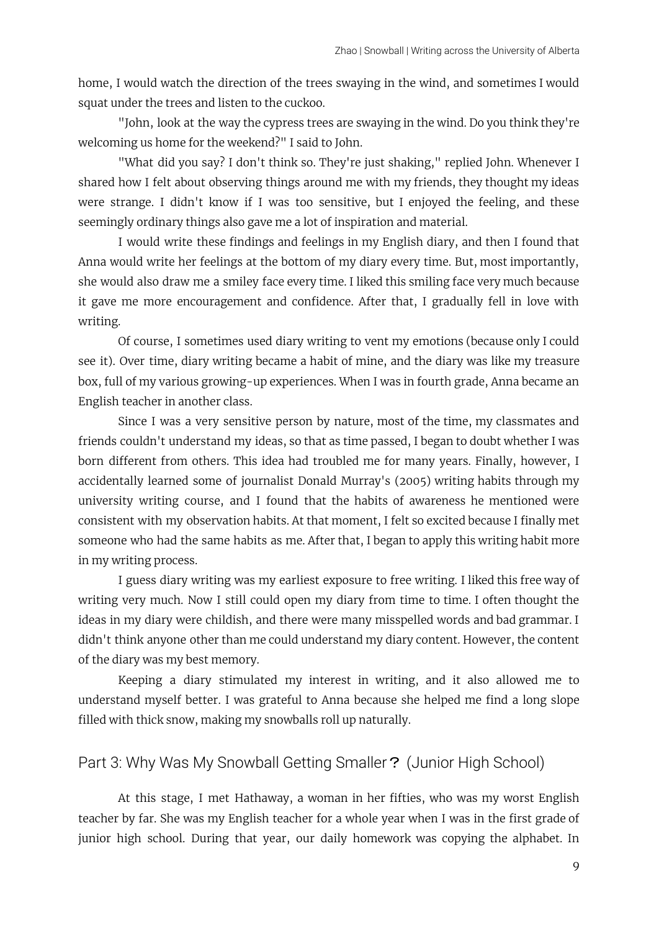home, I would watch the direction of the trees swaying in the wind, and sometimes I would squat under the trees and listen to the cuckoo.

"John, look at the way the cypress trees are swaying in the wind. Do you think they're welcoming us home for the weekend?" I said to John.

"What did you say? I don't think so. They're just shaking," replied John. Whenever I shared how I felt about observing things around me with my friends, they thought my ideas were strange. I didn't know if I was too sensitive, but I enjoyed the feeling, and these seemingly ordinary things also gave me a lot of inspiration and material.

I would write these findings and feelings in my English diary, and then I found that Anna would write her feelings at the bottom of my diary every time. But, most importantly, she would also draw me a smiley face every time. I liked this smiling face very much because it gave me more encouragement and confidence. After that, I gradually fell in love with writing.

Of course, I sometimes used diary writing to vent my emotions (because only I could see it). Over time, diary writing became a habit of mine, and the diary was like my treasure box, full of my various growing-up experiences. When I was in fourth grade, Anna became an English teacher in another class.

Since I was a very sensitive person by nature, most of the time, my classmates and friends couldn't understand my ideas, so that as time passed, I began to doubt whether I was born different from others. This idea had troubled me for many years. Finally, however, I accidentally learned some of journalist Donald Murray's (2005) writing habits through my university writing course, and I found that the habits of awareness he mentioned were consistent with my observation habits. At that moment, I felt so excited because I finally met someone who had the same habits as me. After that, I began to apply this writing habit more in my writing process.

I guess diary writing was my earliest exposure to free writing. I liked this free way of writing very much. Now I still could open my diary from time to time. I often thought the ideas in my diary were childish, and there were many misspelled words and bad grammar. I didn't think anyone other than me could understand my diary content. However, the content of the diary was my best memory.

Keeping a diary stimulated my interest in writing, and it also allowed me to understand myself better. I was grateful to Anna because she helped me find a long slope filled with thick snow, making my snowballs roll up naturally.

### Part 3: Why Was My Snowball Getting Smaller? (Junior High School)

At this stage, I met Hathaway, a woman in her fifties, who was my worst English teacher by far. She was my English teacher for a whole year when I was in the first grade of junior high school. During that year, our daily homework was copying the alphabet. In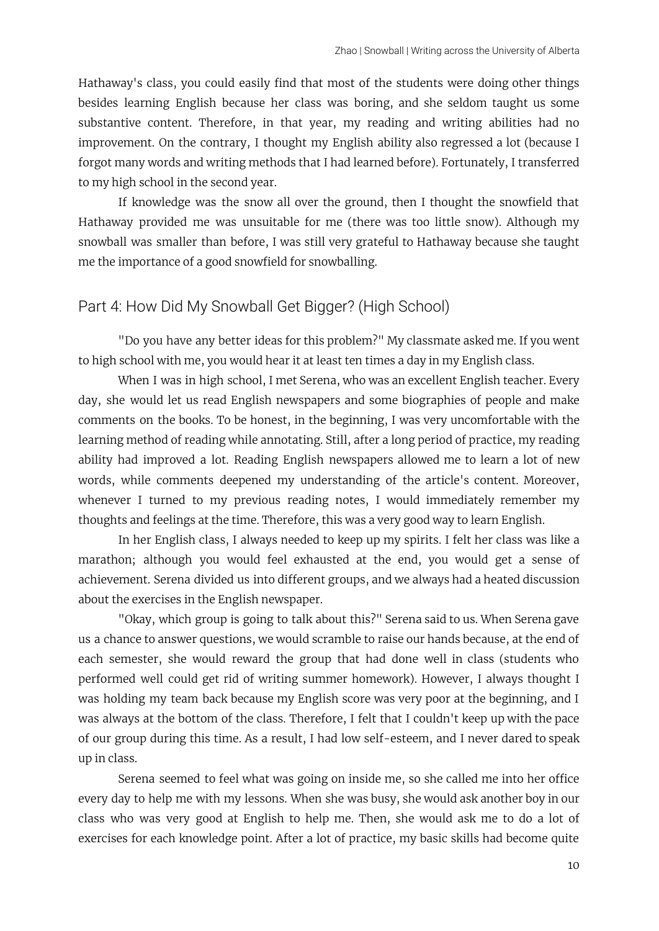Hathaway's class, you could easily find that most of the students were doing other things besides learning English because her class was boring, and she seldom taught us some substantive content. Therefore, in that year, my reading and writing abilities had no improvement. On the contrary, I thought my English ability also regressed a lot (because I forgot many words and writing methods that I had learned before). Fortunately, I transferred to my high school in the second year.

If knowledge was the snow all over the ground, then I thought the snowfield that Hathaway provided me was unsuitable for me (there was too little snow). Although my snowball was smaller than before, I was still very grateful to Hathaway because she taught me the importance of a good snowfield for snowballing.

#### Part 4: How Did My Snowball Get Bigger? (High School)

"Do you have any better ideas for this problem?" My classmate asked me. If you went to high school with me, you would hear it at least ten times a day in my English class.

When I was in high school, I met Serena, who was an excellent English teacher. Every day, she would let us read English newspapers and some biographies of people and make comments on the books. To be honest, in the beginning, I was very uncomfortable with the learning method of reading while annotating. Still, after a long period of practice, my reading ability had improved a lot. Reading English newspapers allowed me to learn a lot of new words, while comments deepened my understanding of the article's content. Moreover, whenever I turned to my previous reading notes, I would immediately remember my thoughts and feelings at the time. Therefore, this was a very good way to learn English.

In her English class, I always needed to keep up my spirits. I felt her class was like a marathon; although you would feel exhausted at the end, you would get a sense of achievement. Serena divided us into different groups, and we always had a heated discussion about the exercises in the English newspaper.

"Okay, which group is going to talk about this?" Serena said to us. When Serena gave us a chance to answer questions, we would scramble to raise our hands because, at the end of each semester, she would reward the group that had done well in class (students who performed well could get rid of writing summer homework). However, I always thought I was holding my team back because my English score was very poor at the beginning, and I was always at the bottom of the class. Therefore, I felt that I couldn't keep up with the pace of our group during this time. As a result, I had low self-esteem, and I never dared to speak up in class.

Serena seemed to feel what was going on inside me, so she called me into her office every day to help me with my lessons. When she was busy, she would ask another boy in our class who was very good at English to help me. Then, she would ask me to do a lot of exercises for each knowledge point. After a lot of practice, my basic skills had become quite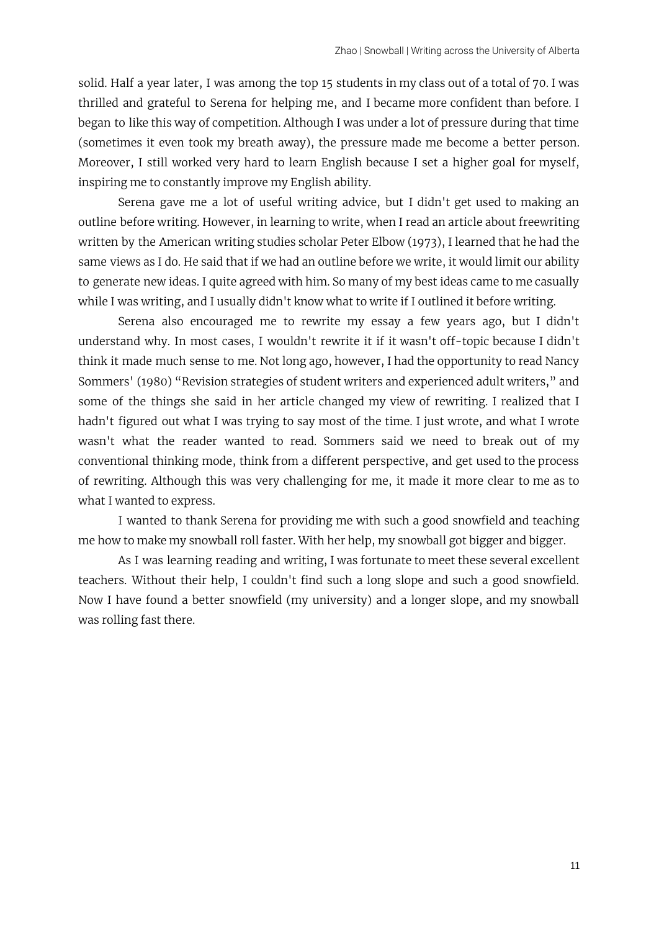solid. Half a year later, I was among the top 15 students in my class out of a total of 70. I was thrilled and grateful to Serena for helping me, and I became more confident than before. I began to like this way of competition. Although I was under a lot of pressure during that time (sometimes it even took my breath away), the pressure made me become a better person. Moreover, I still worked very hard to learn English because I set a higher goal for myself, inspiring me to constantly improve my English ability.

Serena gave me a lot of useful writing advice, but I didn't get used to making an outline before writing. However, in learning to write, when I read an article about freewriting written by the American writing studies scholar Peter Elbow (1973), I learned that he had the same views as I do. He said that if we had an outline before we write, it would limit our ability to generate new ideas. I quite agreed with him. So many of my best ideas came to me casually while I was writing, and I usually didn't know what to write if I outlined it before writing.

Serena also encouraged me to rewrite my essay a few years ago, but I didn't understand why. In most cases, I wouldn't rewrite it if it wasn't off-topic because I didn't think it made much sense to me. Not long ago, however, I had the opportunity to read Nancy Sommers' (1980) "Revision strategies of student writers and experienced adult writers," and some of the things she said in her article changed my view of rewriting. I realized that I hadn't figured out what I was trying to say most of the time. I just wrote, and what I wrote wasn't what the reader wanted to read. Sommers said we need to break out of my conventional thinking mode, think from a different perspective, and get used to the process of rewriting. Although this was very challenging for me, it made it more clear to me as to what I wanted to express.

I wanted to thank Serena for providing me with such a good snowfield and teaching me how to make my snowball roll faster. With her help, my snowball got bigger and bigger.

As I was learning reading and writing, I was fortunate to meet these several excellent teachers. Without their help, I couldn't find such a long slope and such a good snowfield. Now I have found a better snowfield (my university) and a longer slope, and my snowball was rolling fast there.